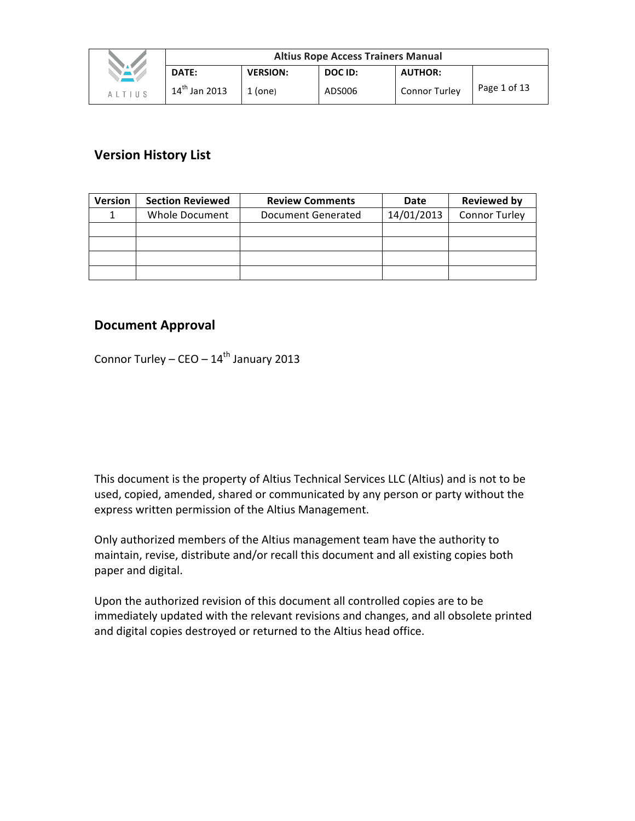|               | <b>Altius Rope Access Trainers Manual</b> |                 |         |                      |              |  |
|---------------|-------------------------------------------|-----------------|---------|----------------------|--------------|--|
| VAV.          | DATE:                                     | <b>VERSION:</b> | DOC ID: | <b>AUTHOR:</b>       |              |  |
| <b>ALTIUS</b> | $14^{th}$ Jan 2013                        | $1$ (one)       | ADS006  | <b>Connor Turley</b> | Page 1 of 13 |  |

# **Version History List**

| <b>Version</b> | <b>Section Reviewed</b> | <b>Review Comments</b> | Date       | <b>Reviewed by</b>   |
|----------------|-------------------------|------------------------|------------|----------------------|
|                | Whole Document          | Document Generated     | 14/01/2013 | <b>Connor Turley</b> |
|                |                         |                        |            |                      |
|                |                         |                        |            |                      |
|                |                         |                        |            |                      |
|                |                         |                        |            |                      |

# **Document Approval**

Connor Turley – CEO –  $14^{th}$  January 2013

This document is the property of Altius Technical Services LLC (Altius) and is not to be used, copied, amended, shared or communicated by any person or party without the express written permission of the Altius Management.

Only authorized members of the Altius management team have the authority to maintain, revise, distribute and/or recall this document and all existing copies both paper and digital.

Upon the authorized revision of this document all controlled copies are to be immediately updated with the relevant revisions and changes, and all obsolete printed and digital copies destroyed or returned to the Altius head office.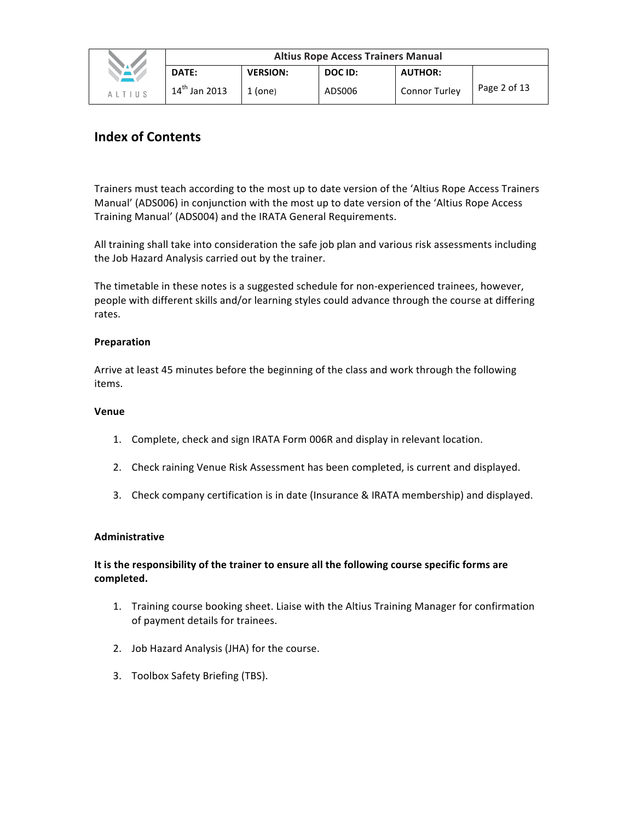|               | <b>Altius Rope Access Trainers Manual</b> |                 |         |                |              |  |
|---------------|-------------------------------------------|-----------------|---------|----------------|--------------|--|
|               | DATE:                                     | <b>VERSION:</b> | DOC ID: | <b>AUTHOR:</b> |              |  |
| <b>ALTIUS</b> | $14^{th}$ Jan 2013                        | $1$ (one)       | ADS006  | Connor Turley  | Page 2 of 13 |  |

# **Index of Contents**

Trainers must teach according to the most up to date version of the 'Altius Rope Access Trainers Manual' (ADS006) in conjunction with the most up to date version of the 'Altius Rope Access Training Manual' (ADS004) and the IRATA General Requirements.

All training shall take into consideration the safe job plan and various risk assessments including the Job Hazard Analysis carried out by the trainer.

The timetable in these notes is a suggested schedule for non-experienced trainees, however, people with different skills and/or learning styles could advance through the course at differing rates.

### **Preparation**

Arrive at least 45 minutes before the beginning of the class and work through the following items.

#### **Venue**

- 1. Complete, check and sign IRATA Form 006R and display in relevant location.
- 2. Check raining Venue Risk Assessment has been completed, is current and displayed.
- 3. Check company certification is in date (Insurance & IRATA membership) and displayed.

## **Administrative**

# It is the responsibility of the trainer to ensure all the following course specific forms are **completed.**

- 1. Training course booking sheet. Liaise with the Altius Training Manager for confirmation of payment details for trainees.
- 2. Job Hazard Analysis (JHA) for the course.
- 3. Toolbox Safety Briefing (TBS).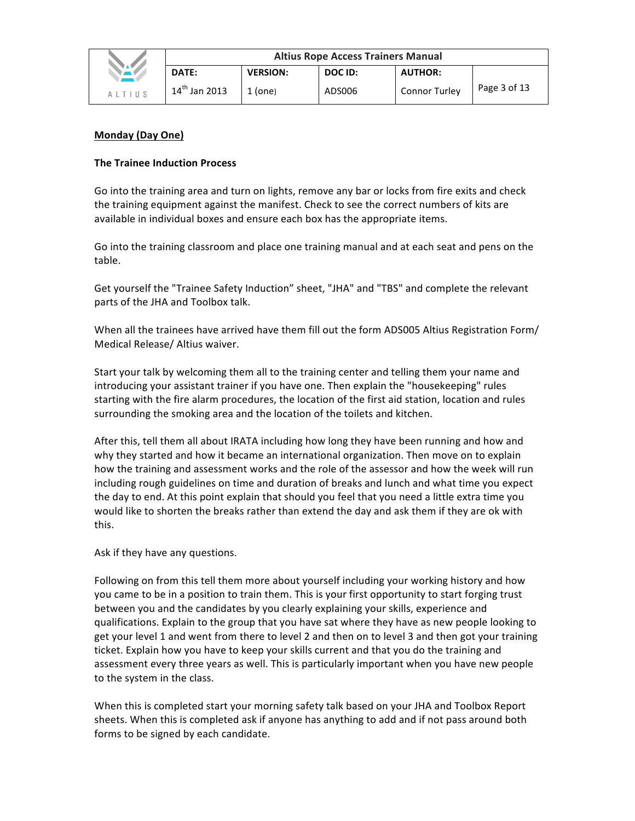|               | <b>Altius Rope Access Trainers Manual</b> |                 |         |                      |              |  |
|---------------|-------------------------------------------|-----------------|---------|----------------------|--------------|--|
| <b>TAPA</b>   | DATE:                                     | <b>VERSION:</b> | DOC ID: | <b>AUTHOR:</b>       |              |  |
| <b>ALTIUS</b> | $14^{th}$ Jan 2013                        | 1 (one)         | ADS006  | <b>Connor Turley</b> | Page 3 of 13 |  |

## **Monday (Day One)**

## **The Trainee Induction Process**

Go into the training area and turn on lights, remove any bar or locks from fire exits and check the training equipment against the manifest. Check to see the correct numbers of kits are available in individual boxes and ensure each box has the appropriate items.

Go into the training classroom and place one training manual and at each seat and pens on the table.

Get yourself the "Trainee Safety Induction" sheet, "JHA" and "TBS" and complete the relevant parts of the JHA and Toolbox talk.

When all the trainees have arrived have them fill out the form ADS005 Altius Registration Form/ Medical Release/ Altius waiver.

Start your talk by welcoming them all to the training center and telling them your name and introducing your assistant trainer if you have one. Then explain the "housekeeping" rules starting with the fire alarm procedures, the location of the first aid station, location and rules surrounding the smoking area and the location of the toilets and kitchen.

After this, tell them all about IRATA including how long they have been running and how and why they started and how it became an international organization. Then move on to explain how the training and assessment works and the role of the assessor and how the week will run including rough guidelines on time and duration of breaks and lunch and what time you expect the day to end. At this point explain that should you feel that you need a little extra time you would like to shorten the breaks rather than extend the day and ask them if they are ok with this. 

Ask if they have any questions.

Following on from this tell them more about yourself including your working history and how you came to be in a position to train them. This is your first opportunity to start forging trust between you and the candidates by you clearly explaining your skills, experience and qualifications. Explain to the group that you have sat where they have as new people looking to get your level 1 and went from there to level 2 and then on to level 3 and then got your training ticket. Explain how you have to keep your skills current and that you do the training and assessment every three years as well. This is particularly important when you have new people to the system in the class.

When this is completed start your morning safety talk based on your JHA and Toolbox Report sheets. When this is completed ask if anyone has anything to add and if not pass around both forms to be signed by each candidate.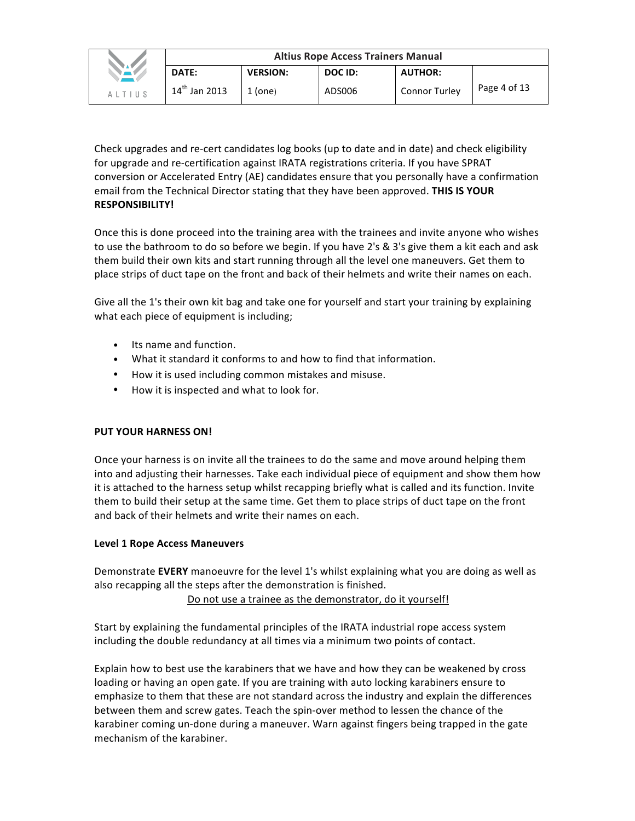|        | <b>Altius Rope Access Trainers Manual</b> |                 |         |                |              |  |  |
|--------|-------------------------------------------|-----------------|---------|----------------|--------------|--|--|
|        | DATE:                                     | <b>VERSION:</b> | DOC ID: | <b>AUTHOR:</b> |              |  |  |
| AITIUS | $14^{th}$ Jan 2013                        | $1$ (one)       | ADS006  | Connor Turley  | Page 4 of 13 |  |  |

Check upgrades and re-cert candidates log books (up to date and in date) and check eligibility for upgrade and re-certification against IRATA registrations criteria. If you have SPRAT conversion or Accelerated Entry (AE) candidates ensure that you personally have a confirmation email from the Technical Director stating that they have been approved. **THIS IS YOUR RESPONSIBILITY!**

Once this is done proceed into the training area with the trainees and invite anyone who wishes to use the bathroom to do so before we begin. If you have 2's & 3's give them a kit each and ask them build their own kits and start running through all the level one maneuvers. Get them to place strips of duct tape on the front and back of their helmets and write their names on each.

Give all the 1's their own kit bag and take one for yourself and start your training by explaining what each piece of equipment is including;

- Its name and function.
- What it standard it conforms to and how to find that information.
- How it is used including common mistakes and misuse.
- How it is inspected and what to look for.

# **PUT YOUR HARNESS ON!**

Once your harness is on invite all the trainees to do the same and move around helping them into and adjusting their harnesses. Take each individual piece of equipment and show them how it is attached to the harness setup whilst recapping briefly what is called and its function. Invite them to build their setup at the same time. Get them to place strips of duct tape on the front and back of their helmets and write their names on each.

## Level 1 Rope Access Maneuvers

Demonstrate **EVERY** manoeuvre for the level 1's whilst explaining what you are doing as well as also recapping all the steps after the demonstration is finished.

Do not use a trainee as the demonstrator, do it yourself!

Start by explaining the fundamental principles of the IRATA industrial rope access system including the double redundancy at all times via a minimum two points of contact.

Explain how to best use the karabiners that we have and how they can be weakened by cross loading or having an open gate. If you are training with auto locking karabiners ensure to emphasize to them that these are not standard across the industry and explain the differences between them and screw gates. Teach the spin-over method to lessen the chance of the karabiner coming un-done during a maneuver. Warn against fingers being trapped in the gate mechanism of the karabiner.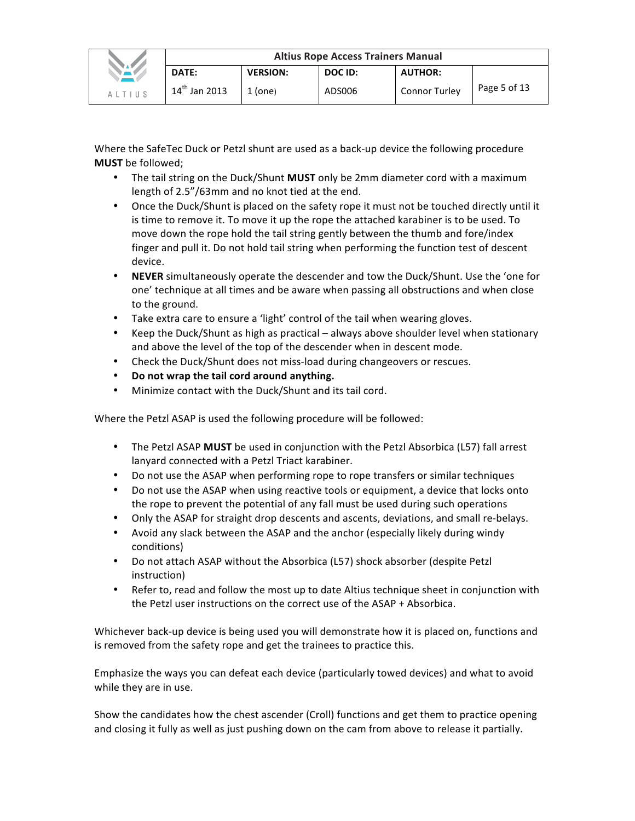|                     | <b>Altius Rope Access Trainers Manual</b> |                 |         |                      |              |  |  |
|---------------------|-------------------------------------------|-----------------|---------|----------------------|--------------|--|--|
|                     | <b>DATE:</b>                              | <b>VERSION:</b> | DOC ID: | <b>AUTHOR:</b>       |              |  |  |
| $\Delta$   T   II S | $14^{th}$ Jan 2013                        | $1$ (one)       | ADS006  | <b>Connor Turley</b> | Page 5 of 13 |  |  |

Where the SafeTec Duck or Petzl shunt are used as a back-up device the following procedure **MUST** be followed;

- The tail string on the Duck/Shunt **MUST** only be 2mm diameter cord with a maximum length of 2.5"/63mm and no knot tied at the end.
- Once the Duck/Shunt is placed on the safety rope it must not be touched directly until it is time to remove it. To move it up the rope the attached karabiner is to be used. To move down the rope hold the tail string gently between the thumb and fore/index finger and pull it. Do not hold tail string when performing the function test of descent device.
- **NEVER** simultaneously operate the descender and tow the Duck/Shunt. Use the 'one for one' technique at all times and be aware when passing all obstructions and when close to the ground.
- Take extra care to ensure a 'light' control of the tail when wearing gloves.
- Keep the Duck/Shunt as high as practical always above shoulder level when stationary and above the level of the top of the descender when in descent mode.
- Check the Duck/Shunt does not miss-load during changeovers or rescues.
- Do not wrap the tail cord around anything.
- Minimize contact with the Duck/Shunt and its tail cord.

Where the Petzl ASAP is used the following procedure will be followed:

- The Petzl ASAP **MUST** be used in conjunction with the Petzl Absorbica (L57) fall arrest lanyard connected with a Petzl Triact karabiner.
- Do not use the ASAP when performing rope to rope transfers or similar techniques
- Do not use the ASAP when using reactive tools or equipment, a device that locks onto the rope to prevent the potential of any fall must be used during such operations
- Only the ASAP for straight drop descents and ascents, deviations, and small re-belays.
- Avoid any slack between the ASAP and the anchor (especially likely during windy conditions)
- Do not attach ASAP without the Absorbica (L57) shock absorber (despite Petzl instruction)
- Refer to, read and follow the most up to date Altius technique sheet in conjunction with the Petzl user instructions on the correct use of the  $ASAP + Absorbica$ .

Whichever back-up device is being used you will demonstrate how it is placed on, functions and is removed from the safety rope and get the trainees to practice this.

Emphasize the ways you can defeat each device (particularly towed devices) and what to avoid while they are in use.

Show the candidates how the chest ascender (Croll) functions and get them to practice opening and closing it fully as well as just pushing down on the cam from above to release it partially.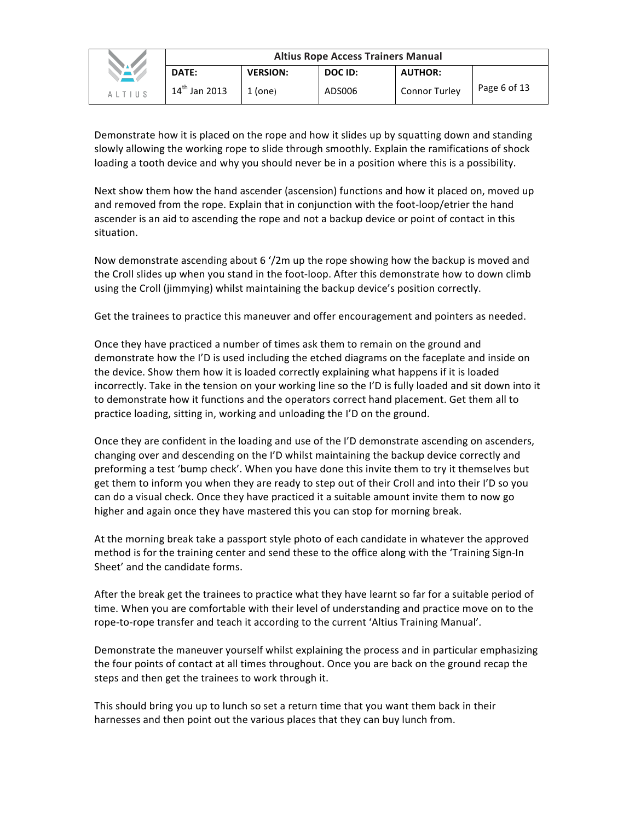|        | <b>Altius Rope Access Trainers Manual</b> |                 |         |                      |              |  |
|--------|-------------------------------------------|-----------------|---------|----------------------|--------------|--|
|        | DATE:                                     | <b>VERSION:</b> | DOC ID: | <b>AUTHOR:</b>       |              |  |
| ALTIUS | $14^{th}$ Jan 2013                        | $1$ (one)       | ADS006  | <b>Connor Turley</b> | Page 6 of 13 |  |

Demonstrate how it is placed on the rope and how it slides up by squatting down and standing slowly allowing the working rope to slide through smoothly. Explain the ramifications of shock loading a tooth device and why you should never be in a position where this is a possibility.

Next show them how the hand ascender (ascension) functions and how it placed on, moved up and removed from the rope. Explain that in conjunction with the foot-loop/etrier the hand ascender is an aid to ascending the rope and not a backup device or point of contact in this situation.

Now demonstrate ascending about 6  $\frac{1}{2}$ m up the rope showing how the backup is moved and the Croll slides up when you stand in the foot-loop. After this demonstrate how to down climb using the Croll (jimmying) whilst maintaining the backup device's position correctly.

Get the trainees to practice this maneuver and offer encouragement and pointers as needed.

Once they have practiced a number of times ask them to remain on the ground and demonstrate how the I'D is used including the etched diagrams on the faceplate and inside on the device. Show them how it is loaded correctly explaining what happens if it is loaded incorrectly. Take in the tension on your working line so the I'D is fully loaded and sit down into it to demonstrate how it functions and the operators correct hand placement. Get them all to practice loading, sitting in, working and unloading the I'D on the ground.

Once they are confident in the loading and use of the I'D demonstrate ascending on ascenders, changing over and descending on the I'D whilst maintaining the backup device correctly and preforming a test 'bump check'. When you have done this invite them to try it themselves but get them to inform you when they are ready to step out of their Croll and into their I'D so you can do a visual check. Once they have practiced it a suitable amount invite them to now go higher and again once they have mastered this you can stop for morning break.

At the morning break take a passport style photo of each candidate in whatever the approved method is for the training center and send these to the office along with the 'Training Sign-In Sheet' and the candidate forms.

After the break get the trainees to practice what they have learnt so far for a suitable period of time. When you are comfortable with their level of understanding and practice move on to the rope-to-rope transfer and teach it according to the current 'Altius Training Manual'.

Demonstrate the maneuver yourself whilst explaining the process and in particular emphasizing the four points of contact at all times throughout. Once you are back on the ground recap the steps and then get the trainees to work through it.

This should bring you up to lunch so set a return time that you want them back in their harnesses and then point out the various places that they can buy lunch from.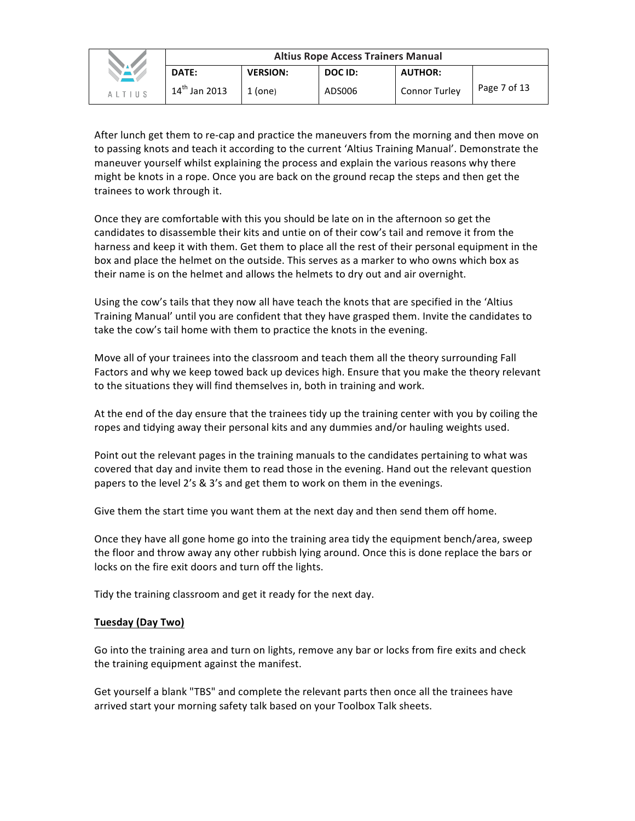|                                         | <b>Altius Rope Access Trainers Manual</b> |                 |         |                      |              |  |  |
|-----------------------------------------|-------------------------------------------|-----------------|---------|----------------------|--------------|--|--|
|                                         | DATE:                                     | <b>VERSION:</b> | DOC ID: | <b>AUTHOR:</b>       |              |  |  |
| $A$ $\perp$ $T$ $\perp$ $\parallel$ $S$ | $14^{th}$ Jan 2013                        | $1$ (one)       | ADS006  | <b>Connor Turley</b> | Page 7 of 13 |  |  |

After lunch get them to re-cap and practice the maneuvers from the morning and then move on to passing knots and teach it according to the current 'Altius Training Manual'. Demonstrate the maneuver yourself whilst explaining the process and explain the various reasons why there might be knots in a rope. Once you are back on the ground recap the steps and then get the trainees to work through it.

Once they are comfortable with this you should be late on in the afternoon so get the candidates to disassemble their kits and untie on of their cow's tail and remove it from the harness and keep it with them. Get them to place all the rest of their personal equipment in the box and place the helmet on the outside. This serves as a marker to who owns which box as their name is on the helmet and allows the helmets to dry out and air overnight.

Using the cow's tails that they now all have teach the knots that are specified in the 'Altius Training Manual' until you are confident that they have grasped them. Invite the candidates to take the cow's tail home with them to practice the knots in the evening.

Move all of your trainees into the classroom and teach them all the theory surrounding Fall Factors and why we keep towed back up devices high. Ensure that you make the theory relevant to the situations they will find themselves in, both in training and work.

At the end of the day ensure that the trainees tidy up the training center with you by coiling the ropes and tidying away their personal kits and any dummies and/or hauling weights used.

Point out the relevant pages in the training manuals to the candidates pertaining to what was covered that day and invite them to read those in the evening. Hand out the relevant question papers to the level 2's & 3's and get them to work on them in the evenings.

Give them the start time you want them at the next day and then send them off home.

Once they have all gone home go into the training area tidy the equipment bench/area, sweep the floor and throw away any other rubbish lying around. Once this is done replace the bars or locks on the fire exit doors and turn off the lights.

Tidy the training classroom and get it ready for the next day.

## **Tuesday (Day Two)**

Go into the training area and turn on lights, remove any bar or locks from fire exits and check the training equipment against the manifest.

Get yourself a blank "TBS" and complete the relevant parts then once all the trainees have arrived start your morning safety talk based on your Toolbox Talk sheets.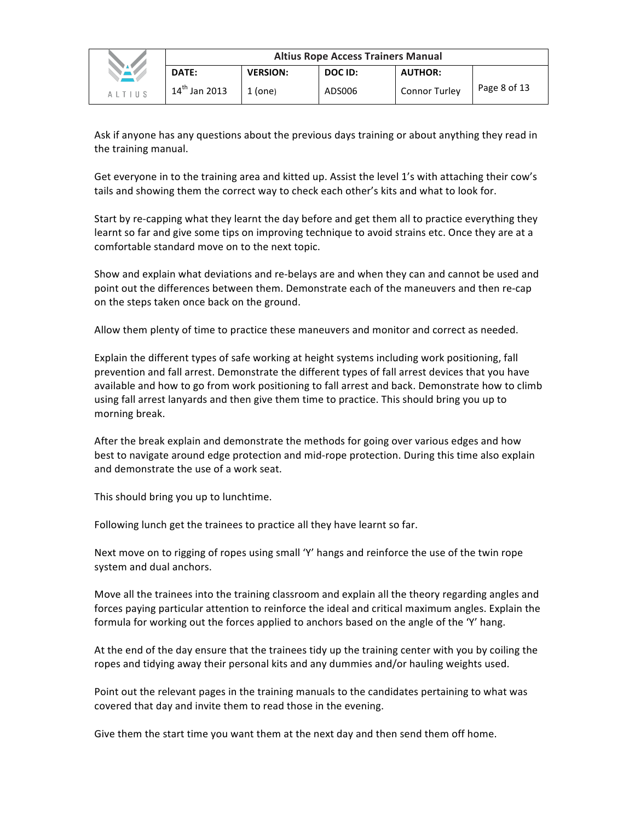|               | <b>Altius Rope Access Trainers Manual</b> |                 |         |                |              |  |  |
|---------------|-------------------------------------------|-----------------|---------|----------------|--------------|--|--|
|               | DATE:                                     | <b>VERSION:</b> | DOC ID: | <b>AUTHOR:</b> |              |  |  |
| <b>ALTIUS</b> | $14^{th}$ Jan 2013                        | 1 (one)         | ADS006  | Connor Turley  | Page 8 of 13 |  |  |

Ask if anyone has any questions about the previous days training or about anything they read in the training manual.

Get everyone in to the training area and kitted up. Assist the level 1's with attaching their cow's tails and showing them the correct way to check each other's kits and what to look for.

Start by re-capping what they learnt the day before and get them all to practice everything they learnt so far and give some tips on improving technique to avoid strains etc. Once they are at a comfortable standard move on to the next topic.

Show and explain what deviations and re-belays are and when they can and cannot be used and point out the differences between them. Demonstrate each of the maneuvers and then re-cap on the steps taken once back on the ground.

Allow them plenty of time to practice these maneuvers and monitor and correct as needed.

Explain the different types of safe working at height systems including work positioning, fall prevention and fall arrest. Demonstrate the different types of fall arrest devices that you have available and how to go from work positioning to fall arrest and back. Demonstrate how to climb using fall arrest lanyards and then give them time to practice. This should bring you up to morning break.

After the break explain and demonstrate the methods for going over various edges and how best to navigate around edge protection and mid-rope protection. During this time also explain and demonstrate the use of a work seat.

This should bring you up to lunchtime.

Following lunch get the trainees to practice all they have learnt so far.

Next move on to rigging of ropes using small 'Y' hangs and reinforce the use of the twin rope system and dual anchors.

Move all the trainees into the training classroom and explain all the theory regarding angles and forces paying particular attention to reinforce the ideal and critical maximum angles. Explain the formula for working out the forces applied to anchors based on the angle of the 'Y' hang.

At the end of the day ensure that the trainees tidy up the training center with you by coiling the ropes and tidying away their personal kits and any dummies and/or hauling weights used.

Point out the relevant pages in the training manuals to the candidates pertaining to what was covered that day and invite them to read those in the evening.

Give them the start time you want them at the next day and then send them off home.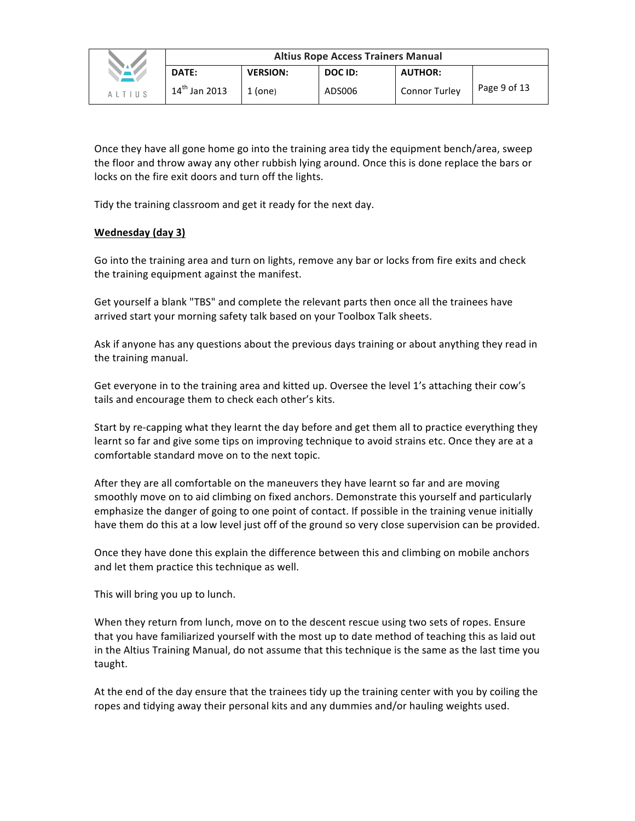|        | <b>Altius Rope Access Trainers Manual</b> |                 |         |                      |              |  |  |
|--------|-------------------------------------------|-----------------|---------|----------------------|--------------|--|--|
|        | DATE:                                     | <b>VERSION:</b> | DOC ID: | <b>AUTHOR:</b>       |              |  |  |
| AITIUS | $14^{th}$ Jan 2013                        | $1$ (one)       | ADS006  | <b>Connor Turley</b> | Page 9 of 13 |  |  |

Once they have all gone home go into the training area tidy the equipment bench/area, sweep the floor and throw away any other rubbish lying around. Once this is done replace the bars or locks on the fire exit doors and turn off the lights.

Tidy the training classroom and get it ready for the next day.

# **Wednesday** (day 3)

Go into the training area and turn on lights, remove any bar or locks from fire exits and check the training equipment against the manifest.

Get yourself a blank "TBS" and complete the relevant parts then once all the trainees have arrived start your morning safety talk based on your Toolbox Talk sheets.

Ask if anyone has any questions about the previous days training or about anything they read in the training manual.

Get everyone in to the training area and kitted up. Oversee the level 1's attaching their cow's tails and encourage them to check each other's kits.

Start by re-capping what they learnt the day before and get them all to practice everything they learnt so far and give some tips on improving technique to avoid strains etc. Once they are at a comfortable standard move on to the next topic.

After they are all comfortable on the maneuvers they have learnt so far and are moving smoothly move on to aid climbing on fixed anchors. Demonstrate this yourself and particularly emphasize the danger of going to one point of contact. If possible in the training venue initially have them do this at a low level just off of the ground so very close supervision can be provided.

Once they have done this explain the difference between this and climbing on mobile anchors and let them practice this technique as well.

This will bring you up to lunch.

When they return from lunch, move on to the descent rescue using two sets of ropes. Ensure that you have familiarized yourself with the most up to date method of teaching this as laid out in the Altius Training Manual, do not assume that this technique is the same as the last time you taught.

At the end of the day ensure that the trainees tidy up the training center with you by coiling the ropes and tidying away their personal kits and any dummies and/or hauling weights used.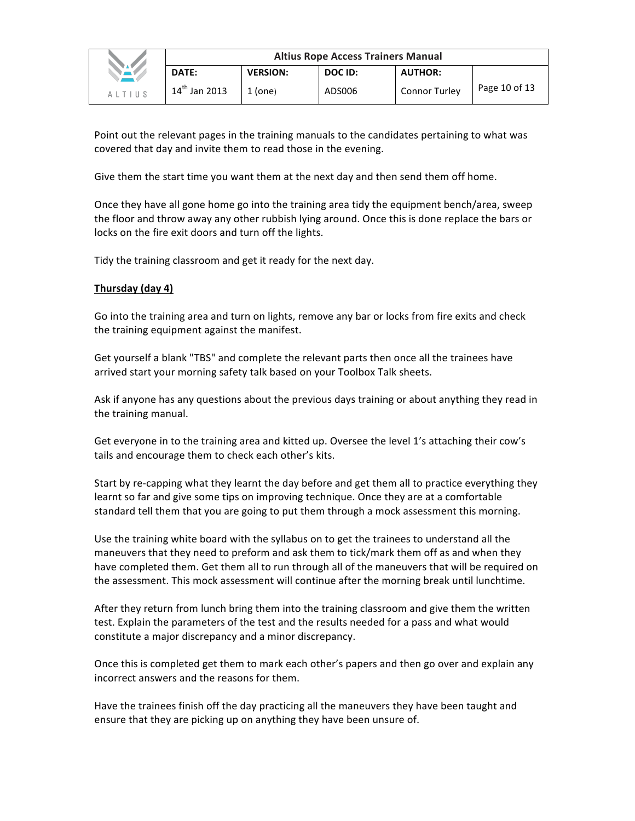|               | <b>Altius Rope Access Trainers Manual</b> |                 |         |                      |                 |  |
|---------------|-------------------------------------------|-----------------|---------|----------------------|-----------------|--|
|               | DATE:                                     | <b>VERSION:</b> | DOC ID: | <b>AUTHOR:</b>       |                 |  |
| <b>ALTIUS</b> | $14^{\sf th}$<br>Jan 2013                 | $1$ (one)       | ADS006  | <b>Connor Turley</b> | Page 10 of $13$ |  |

Point out the relevant pages in the training manuals to the candidates pertaining to what was covered that day and invite them to read those in the evening.

Give them the start time you want them at the next day and then send them off home.

Once they have all gone home go into the training area tidy the equipment bench/area, sweep the floor and throw away any other rubbish lying around. Once this is done replace the bars or locks on the fire exit doors and turn off the lights.

Tidy the training classroom and get it ready for the next day.

# **Thursday (day 4)**

Go into the training area and turn on lights, remove any bar or locks from fire exits and check the training equipment against the manifest.

Get yourself a blank "TBS" and complete the relevant parts then once all the trainees have arrived start your morning safety talk based on your Toolbox Talk sheets.

Ask if anyone has any questions about the previous days training or about anything they read in the training manual.

Get everyone in to the training area and kitted up. Oversee the level 1's attaching their cow's tails and encourage them to check each other's kits.

Start by re-capping what they learnt the day before and get them all to practice everything they learnt so far and give some tips on improving technique. Once they are at a comfortable standard tell them that you are going to put them through a mock assessment this morning.

Use the training white board with the syllabus on to get the trainees to understand all the maneuvers that they need to preform and ask them to tick/mark them off as and when they have completed them. Get them all to run through all of the maneuvers that will be required on the assessment. This mock assessment will continue after the morning break until lunchtime.

After they return from lunch bring them into the training classroom and give them the written test. Explain the parameters of the test and the results needed for a pass and what would constitute a major discrepancy and a minor discrepancy.

Once this is completed get them to mark each other's papers and then go over and explain any incorrect answers and the reasons for them.

Have the trainees finish off the day practicing all the maneuvers they have been taught and ensure that they are picking up on anything they have been unsure of.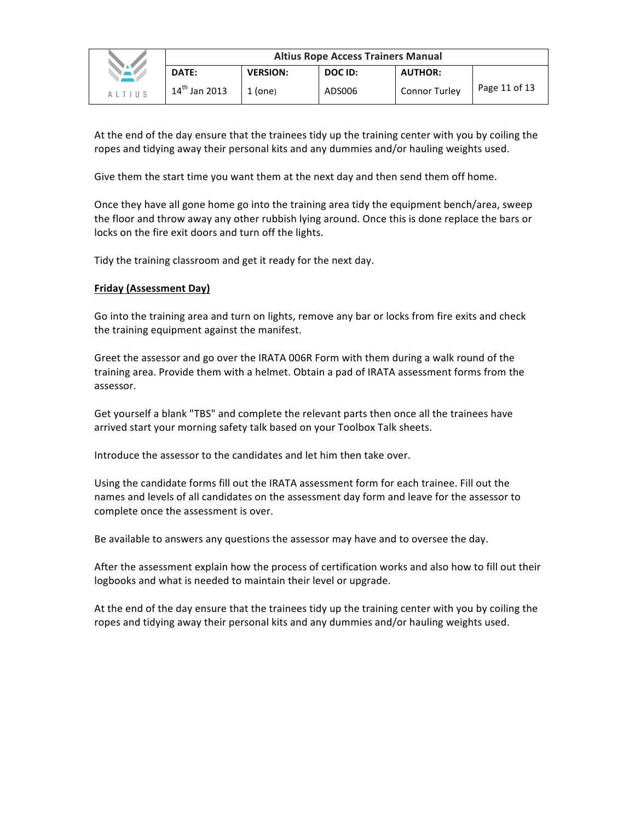|               | <b>Altius Rope Access Trainers Manual</b> |                 |         |                      |               |  |  |
|---------------|-------------------------------------------|-----------------|---------|----------------------|---------------|--|--|
|               | DATE:                                     | <b>VERSION:</b> | DOC ID: | <b>AUTHOR:</b>       |               |  |  |
| <b>ALTIUS</b> | $14^{th}$ Jan 2013                        | 1 (one)         | ADS006  | <b>Connor Turley</b> | Page 11 of 13 |  |  |

At the end of the day ensure that the trainees tidy up the training center with you by coiling the ropes and tidying away their personal kits and any dummies and/or hauling weights used.

Give them the start time you want them at the next day and then send them off home.

Once they have all gone home go into the training area tidy the equipment bench/area, sweep the floor and throw away any other rubbish lying around. Once this is done replace the bars or locks on the fire exit doors and turn off the lights.

Tidy the training classroom and get it ready for the next day.

# **Friday (Assessment Day)**

Go into the training area and turn on lights, remove any bar or locks from fire exits and check the training equipment against the manifest.

Greet the assessor and go over the IRATA 006R Form with them during a walk round of the training area. Provide them with a helmet. Obtain a pad of IRATA assessment forms from the assessor.

Get yourself a blank "TBS" and complete the relevant parts then once all the trainees have arrived start your morning safety talk based on your Toolbox Talk sheets.

Introduce the assessor to the candidates and let him then take over.

Using the candidate forms fill out the IRATA assessment form for each trainee. Fill out the names and levels of all candidates on the assessment day form and leave for the assessor to complete once the assessment is over.

Be available to answers any questions the assessor may have and to oversee the day.

After the assessment explain how the process of certification works and also how to fill out their logbooks and what is needed to maintain their level or upgrade.

At the end of the day ensure that the trainees tidy up the training center with you by coiling the ropes and tidying away their personal kits and any dummies and/or hauling weights used.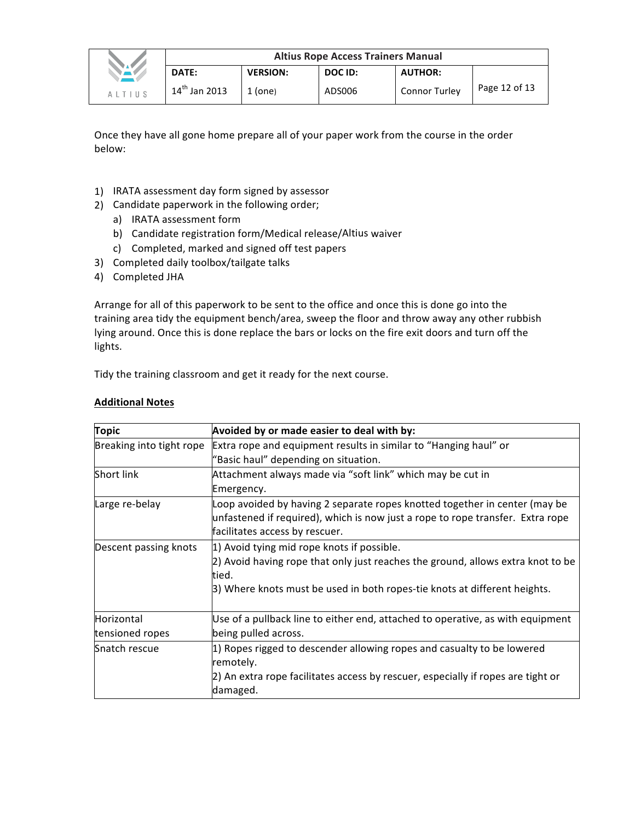|               | <b>Altius Rope Access Trainers Manual</b> |                 |         |                      |               |
|---------------|-------------------------------------------|-----------------|---------|----------------------|---------------|
|               | DATE:                                     | <b>VERSION:</b> | DOC ID: | <b>AUTHOR:</b>       |               |
| <b>ALTIUS</b> | $14^{th}$ Jan 2013                        | $1$ (one)       | ADS006  | <b>Connor Turley</b> | Page 12 of 13 |

Once they have all gone home prepare all of your paper work from the course in the order below:

- 1) IRATA assessment day form signed by assessor
- 2) Candidate paperwork in the following order;
	- a) IRATA assessment form
	- b) Candidate registration form/Medical release/Altius waiver
	- c) Completed, marked and signed off test papers
- 3) Completed daily toolbox/tailgate talks
- 4) Completed JHA

Arrange for all of this paperwork to be sent to the office and once this is done go into the training area tidy the equipment bench/area, sweep the floor and throw away any other rubbish lying around. Once this is done replace the bars or locks on the fire exit doors and turn off the lights. 

Tidy the training classroom and get it ready for the next course.

## **Additional Notes**

| <b>Topic</b>                  | Avoided by or made easier to deal with by:                                                                                                                                                                           |
|-------------------------------|----------------------------------------------------------------------------------------------------------------------------------------------------------------------------------------------------------------------|
| Breaking into tight rope      | Extra rope and equipment results in similar to "Hanging haul" or<br>"Basic haul" depending on situation.                                                                                                             |
| Short link                    | Attachment always made via "soft link" which may be cut in<br>Emergency.                                                                                                                                             |
| Large re-belay                | Loop avoided by having 2 separate ropes knotted together in center (may be<br>unfastened if required), which is now just a rope to rope transfer. Extra rope<br>facilitates access by rescuer.                       |
| Descent passing knots         | 1) Avoid tying mid rope knots if possible.<br>2) Avoid having rope that only just reaches the ground, allows extra knot to be<br>tied.<br>[3] Where knots must be used in both ropes-tie knots at different heights. |
| Horizontal<br>tensioned ropes | Use of a pullback line to either end, attached to operative, as with equipment<br>being pulled across.                                                                                                               |
| Snatch rescue                 | 1) Ropes rigged to descender allowing ropes and casualty to be lowered<br>remotely.<br>2) An extra rope facilitates access by rescuer, especially if ropes are tight or<br>damaged.                                  |